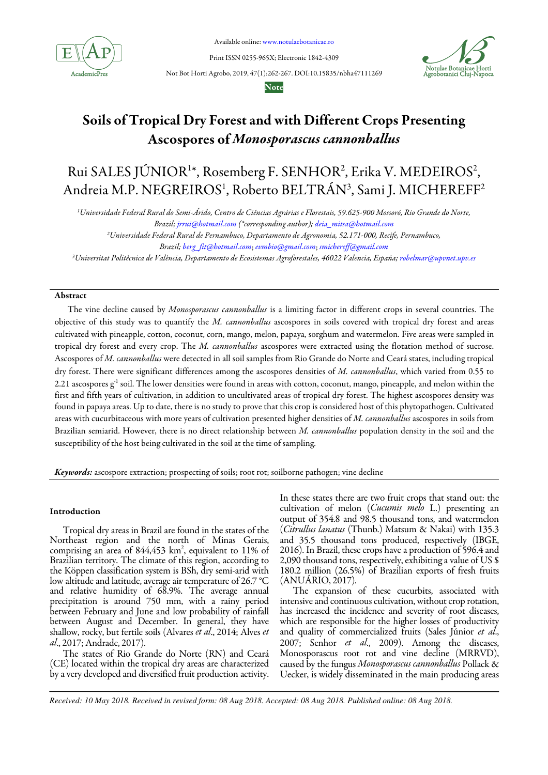

Available online: www.notulaebotanicae.ro

Print ISSN 0255-965X; Electronic 1842-4309

Not Bot Horti Agrobo, 2019, 47(1):262-267. DOI:10.15835/nbha47111269



# Note

# Soils of Tropical Dry Forest and with Different Crops Presenting Ascospores of Monosporascus cannonballus

Rui SALES JÚNIOR<sup>1\*</sup>, Rosemberg F. SENHOR<sup>2</sup>, Erika V. MEDEIROS<sup>2</sup>, Andreia M.P. NEGREIROS<sup>1</sup>, Roberto BELTRÁN<sup>3</sup>, Sami J. MICHEREFF<sup>2</sup>

<sup>1</sup>Universidade Federal Rural do Semi-Árido, Centro de Ciências Agrárias e Florestais, 59.625-900 Mossoró, Rio Grande do Norte,

Brazil; jrrui@hotmail.com (\*corresponding author); deia\_mitsa@hotmail.com

<sup>2</sup>Universidade Federal Rural de Pernambuco, Departamento de Agronomia, 52.171-000, Recife, Pernambuco, Brazil; berg\_fit@hotmail.com; evmbio@gmail.com; smichereff@gmail.com

<sup>3</sup>Universitat Politècnica de València, Departamento de Ecosistemas Agroforestales, 46022 Valencia, España; robelmar@upvnet.upv.es

# Abstract

The vine decline caused by *Monosporascus cannonballus* is a limiting factor in different crops in several countries. The objective of this study was to quantify the M. cannonballus ascospores in soils covered with tropical dry forest and areas cultivated with pineapple, cotton, coconut, corn, mango, melon, papaya, sorghum and watermelon. Five areas were sampled in tropical dry forest and every crop. The M. cannonballus ascospores were extracted using the flotation method of sucrose. Ascospores of M. cannonballus were detected in all soil samples from Rio Grande do Norte and Ceará states, including tropical dry forest. There were significant differences among the ascospores densities of M. cannonballus, which varied from 0.55 to 2.21 ascospores  $g<sup>-1</sup>$  soil. The lower densities were found in areas with cotton, coconut, mango, pineapple, and melon within the first and fifth years of cultivation, in addition to uncultivated areas of tropical dry forest. The highest ascospores density was found in papaya areas. Up to date, there is no study to prove that this crop is considered host of this phytopathogen. Cultivated areas with cucurbitaceous with more years of cultivation presented higher densities of M. cannonballus ascospores in soils from Brazilian semiarid. However, there is no direct relationship between M. cannonballus population density in the soil and the susceptibility of the host being cultivated in the soil at the time of sampling.

Keywords: ascospore extraction; prospecting of soils; root rot; soilborne pathogen; vine decline

### Introduction

Tropical dry areas in Brazil are found in the states of the Northeast region and the north of Minas Gerais, comprising an area of  $844,453$  km<sup>2</sup>, equivalent to 11% of Brazilian territory. The climate of this region, according to the Köppen classification system is BSh, dry semi-arid with low altitude and latitude, average air temperature of 26.7 °C and relative humidity of 68.9%. The average annual precipitation is around 750 mm, with a rainy period between February and June and low probability of rainfall between August and December. In general, they have shallow, rocky, but fertile soils (Alvares et al., 2014; Alves et al., 2017; Andrade, 2017).

The states of Rio Grande do Norte (RN) and Ceará (CE) located within the tropical dry areas are characterized by a very developed and diversified fruit production activity. In these states there are two fruit crops that stand out: the cultivation of melon (Cucumis melo L.) presenting an output of 354.8 and 98.5 thousand tons, and watermelon (Citrullus lanatus (Thunb.) Matsum & Nakai) with 135.3 and 35.5 thousand tons produced, respectively (IBGE, 2016). In Brazil, these crops have a production of 596.4 and 2,090 thousand tons, respectively, exhibiting a value of US \$ 180.2 million (26.5%) of Brazilian exports of fresh fruits (ANUÁRIO, 2017).

The expansion of these cucurbits, associated with intensive and continuous cultivation, without crop rotation, has increased the incidence and severity of root diseases, which are responsible for the higher losses of productivity and quality of commercialized fruits (Sales Júnior et al., 2007; Senhor et al., 2009). Among the diseases, Monosporascus root rot and vine decline (MRRVD), caused by the fungus Monosporascus cannonballus Pollack & Uecker, is widely disseminated in the main producing areas

*Received: 10 May 2018. Received in revised form: 08 Aug 2018. Accepted: 08 Aug 2018. Published online: 08 Aug 2018.*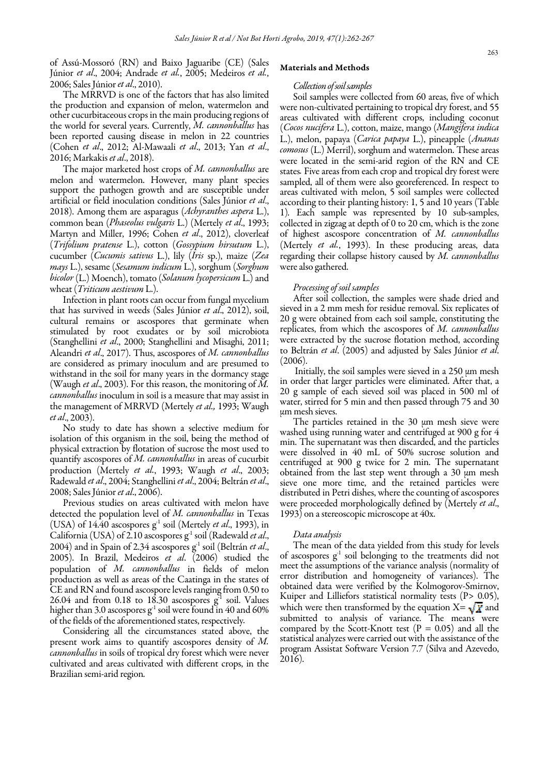of Assú-Mossoró (RN) and Baixo Jaguaribe (CE) (Sales Júnior et al., 2004; Andrade et al., 2005; Medeiros et al., 2006; Sales Júnior et al., 2010).

The MRRVD is one of the factors that has also limited the production and expansion of melon, watermelon and other cucurbitaceous crops in the main producing regions of the world for several years. Currently, M. cannonballus has been reported causing disease in melon in 22 countries (Cohen et al., 2012; Al-Mawaali et al., 2013; Yan et al., 2016; Markakis et al., 2018).

The major marketed host crops of *M. cannonballus* are melon and watermelon. However, many plant species support the pathogen growth and are susceptible under artificial or field inoculation conditions (Sales Júnior et al., 2018). Among them are asparagus (Achyranthes aspera L.), common bean (Phaseolus vulgaris L.) (Mertely et al., 1993; Martyn and Miller, 1996; Cohen et al., 2012), cloverleaf (Trifolium pratense L.), cotton (Gossypium hirsutum L.), cucumber (Cucumis sativus L.), lily (Iris sp.), maize (Zea mays L.), sesame (Sesamum indicum L.), sorghum (Sorghum bicolor (L.) Moench), tomato (Solanum lycopersicum L.) and wheat (Triticum aestivum L.).

Infection in plant roots can occur from fungal mycelium that has survived in weeds (Sales Júnior et al., 2012), soil, cultural remains or ascospores that germinate when stimulated by root exudates or by soil microbiota (Stanghellini et al., 2000; Stanghellini and Misaghi, 2011; Aleandri et al., 2017). Thus, ascospores of M. cannonballus are considered as primary inoculum and are presumed to withstand in the soil for many years in the dormancy stage (Waugh *et al.*, 2003). For this reason, the monitoring of M. cannonballus inoculum in soil is a measure that may assist in the management of MRRVD (Mertely et al., 1993; Waugh et al., 2003).

No study to date has shown a selective medium for isolation of this organism in the soil, being the method of physical extraction by flotation of sucrose the most used to quantify ascospores of *M. cannonballus* in areas of cucurbit production (Mertely et al., 1993; Waugh et al., 2003; Radewald et al., 2004; Stanghellini et al., 2004; Beltrán et al., 2008; Sales Júnior et al., 2006).

Previous studies on areas cultivated with melon have detected the population level of *M. cannonballus* in Texas (USA) of 14.40 ascospores  $g^{-1}$  soil (Mertely *et al.*, 1993), in California (USA) of 2.10 ascospores  $g^{-1}$  soil (Radewald et al., 2004) and in Spain of 2.34 ascospores  $g^1$  soil (Beltrán et al., 2005). In Brazil, Medeiros et al. (2006) studied the population of M. cannonballus in fields of melon production as well as areas of the Caatinga in the states of CE and RN and found ascospore levels ranging from 0.50 to  $26.04$  and from 0.18 to 18.30 ascospores  $g<sup>-1</sup>$  soil. Values higher than 3.0 ascospores  $g^{-1}$  soil were found in 40 and 60% of the fields of the aforementioned states, respectively.

Considering all the circumstances stated above, the present work aims to quantify ascospores density of M. cannonballus in soils of tropical dry forest which were never cultivated and areas cultivated with different crops, in the Brazilian semi-arid region.

## Materials and Methods

#### Collection of soil samples

Soil samples were collected from 60 areas, five of which were non-cultivated pertaining to tropical dry forest, and 55 areas cultivated with different crops, including coconut (Cocos nucifera L.), cotton, maize, mango (Mangifera indica L.), melon, papaya (Carica papaya L.), pineapple (Ananas comosus (L.) Merril), sorghum and watermelon. These areas were located in the semi-arid region of the RN and CE states. Five areas from each crop and tropical dry forest were sampled, all of them were also georeferenced. In respect to areas cultivated with melon, 5 soil samples were collected according to their planting history: 1, 5 and 10 years (Table 1). Each sample was represented by 10 sub-samples, collected in zigzag at depth of 0 to 20 cm, which is the zone of highest ascospore concentration of M. cannonballus (Mertely et al., 1993). In these producing areas, data regarding their collapse history caused by M. cannonballus were also gathered.

#### Processing of soil samples

After soil collection, the samples were shade dried and sieved in a 2 mm mesh for residue removal. Six replicates of 20 g were obtained from each soil sample, constituting the replicates, from which the ascospores of M. cannonballus were extracted by the sucrose flotation method, according to Beltrán et al. (2005) and adjusted by Sales Júnior et al. (2006).

 Initially, the soil samples were sieved in a 250 μm mesh in order that larger particles were eliminated. After that, a 20 g sample of each sieved soil was placed in 500 ml of water, stirred for 5 min and then passed through 75 and 30 μm mesh sieves.

The particles retained in the 30 μm mesh sieve were washed using running water and centrifuged at 900 g for 4 min. The supernatant was then discarded, and the particles were dissolved in 40 mL of 50% sucrose solution and centrifuged at 900 g twice for 2 min. The supernatant obtained from the last step went through a 30 μm mesh sieve one more time, and the retained particles were distributed in Petri dishes, where the counting of ascospores were proceeded morphologically defined by (Mertely *et al.*, 1993) on a stereoscopic microscope at 40x.

#### Data analysis

The mean of the data yielded from this study for levels of ascospores  $g<sup>-1</sup>$  soil belonging to the treatments did not meet the assumptions of the variance analysis (normality of error distribution and homogeneity of variances). The obtained data were verified by the Kolmogorov-Smirnov, Kuiper and Lilliefors statistical normality tests (P> 0.05), which were then transformed by the equation  $X = \sqrt{X}$  and submitted to analysis of variance. The means were compared by the Scott-Knott test ( $P = 0.05$ ) and all the statistical analyzes were carried out with the assistance of the program Assistat Software Version 7.7 (Silva and Azevedo,  $2016$ ).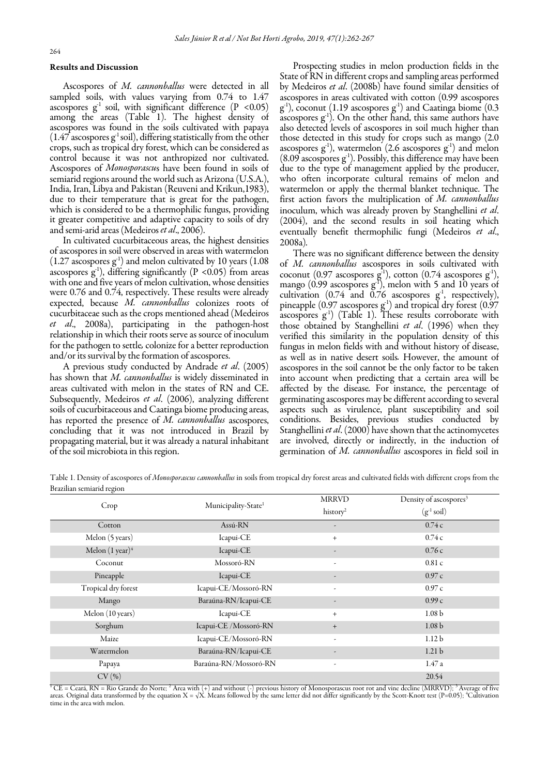#### Results and Discussion

Ascospores of M. cannonballus were detected in all sampled soils, with values varying from 0.74 to 1.47 ascospores  $g<sup>-1</sup>$  soil, with significant difference  $(P < 0.05)$ among the areas (Table 1). The highest density of ascospores was found in the soils cultivated with papaya  $(1.47$  ascospores g<sup>-1</sup> soil), differing statistically from the other crops, such as tropical dry forest, which can be considered as control because it was not anthropized nor cultivated. Ascospores of Monosporascus have been found in soils of semiarid regions around the world such as Arizona (U.S.A.), India, Iran, Libya and Pakistan (Reuveni and Krikun,1983), due to their temperature that is great for the pathogen, which is considered to be a thermophilic fungus, providing it greater competitive and adaptive capacity to soils of dry and semi-arid areas (Medeiros et al., 2006).

In cultivated cucurbitaceous areas, the highest densities of ascospores in soil were observed in areas with watermelon  $(1.27 \text{ ascospores} \text{ g}^1)$  and melon cultivated by 10 years  $(1.08 \text{ m})$ ascospores  $g^{-1}$ ), differing significantly (P <0.05) from areas with one and five years of melon cultivation, whose densities were 0.76 and 0.74, respectively. These results were already expected, because M. cannonballus colonizes roots of cucurbitaceae such as the crops mentioned ahead (Medeiros et al., 2008a), participating in the pathogen-host relationship in which their roots serve as source of inoculum for the pathogen to settle, colonize for a better reproduction and/or its survival by the formation of ascospores.

A previous study conducted by Andrade et al. (2005) has shown that M. cannonballus is widely disseminated in areas cultivated with melon in the states of RN and CE. Subsequently, Medeiros et al. (2006), analyzing different soils of cucurbitaceous and Caatinga biome producing areas, has reported the presence of M. *cannonballus* ascospores, concluding that it was not introduced in Brazil by propagating material, but it was already a natural inhabitant of the soil microbiota in this region.

Prospecting studies in melon production fields in the State of RN in different crops and sampling areas performed by Medeiros et al. (2008b) have found similar densities of ascospores in areas cultivated with cotton (0.99 ascospores  $(g<sup>-1</sup>)$ , coconut (1.19 ascospores  $g<sup>-1</sup>$ ) and Caatinga biome (0.3  $a$ scospores  $g<sup>-1</sup>$ . On the other hand, this same authors have also detected levels of ascospores in soil much higher than those detected in this study for crops such as mango (2.0 ascospores  $g^{-1}$ ), watermelon (2.6 ascospores  $g^{-1}$ ) and melon  $(8.09$  ascospores  $g^{-1}$ ). Possibly, this difference may have been due to the type of management applied by the producer, who often incorporate cultural remains of melon and watermelon or apply the thermal blanket technique. The first action favors the multiplication of M. cannonballus inoculum, which was already proven by Stanghellini et al. (2004), and the second results in soil heating which eventually benefit thermophilic fungi (Medeiros et al., 2008a).

There was no significant difference between the density of M. cannonballus ascospores in soils cultivated with coconut (0.97 ascospores  $g^2$ ), cotton (0.74 ascospores  $g^2$ ), mango (0.99 ascospores  $g<sup>T</sup>$ ), melon with 5 and 10 years of cultivation (0.74 and 0.76 ascospores  $g<sup>-1</sup>$ , respectively), pineapple  $(0.97$  ascospores  $g<sup>-1</sup>$ ) and tropical dry forest  $(0.97$  $\frac{1}{2}$ ascospores g<sup>1</sup>) (Table 1). These results corroborate with those obtained by Stanghellini et al. (1996) when they verified this similarity in the population density of this fungus in melon fields with and without history of disease, as well as in native desert soils. However, the amount of ascospores in the soil cannot be the only factor to be taken into account when predicting that a certain area will be affected by the disease. For instance, the percentage of germinating ascospores may be different according to several aspects such as virulence, plant susceptibility and soil conditions. Besides, previous studies conducted by Stanghellini et al.  $(2000)$  have shown that the actinomycetes are involved, directly or indirectly, in the induction of germination of *M. cannonballus* ascospores in field soil in

Table 1. Density of ascospores of Monosporascus cannonballus in soils from tropical dry forest areas and cultivated fields with different crops from the Brazilian semiarid region

| $\sim$<br>Crop      | Municipality-State <sup>1</sup> | <b>MRRVD</b>             | Density of ascospores <sup>3</sup> |
|---------------------|---------------------------------|--------------------------|------------------------------------|
|                     |                                 | history <sup>2</sup>     | $(g^{-1} \text{ soil})$            |
| Cotton              | Assú-RN                         | ٠                        | 0.74c                              |
| Melon (5 years)     | Icapui-CE                       | $^{+}$                   | 0.74c                              |
| Melon $(1 year)^4$  | Icapui-CE                       |                          | 0.76c                              |
| Coconut             | Mossoró-RN                      | ٠                        | 0.81c                              |
| Pineapple           | Icapui-CE                       | ٠                        | 0.97c                              |
| Tropical dry forest | Icapui-CE/Mossoró-RN            | ٠                        | 0.97c                              |
| Mango               | Baraúna-RN/Icapui-CE            |                          | 0.99c                              |
| Melon (10 years)    | Icapui-CE                       | $+$                      | 1.08 <sub>b</sub>                  |
| Sorghum             | Icapui-CE / Mossoró-RN          | $^{+}$                   | 1.08 <sub>b</sub>                  |
| Maize               | Icapui-CE/Mossoró-RN            | ٠                        | 1.12 <sub>b</sub>                  |
| Watermelon          | Baraúna-RN/Icapui-CE            | -                        | 1.21 <sub>b</sub>                  |
| Papaya              | Baraúna-RN/Mossoró-RN           | $\overline{\phantom{a}}$ | 1.47a                              |
| CV(%)               |                                 |                          | 20.54                              |

 $^1$  CE = Ceará, RN = Rio Grande do Norte;  $^2$  Area with (+) and without (-) previous history of Monosporascus root rot and vine decline (MRRVD);  $^3$  Average of five areas. Original data transformed by the equation X = √X. Means followed by the same letter did not differ significantly by the Scott-Knott test (P=0.05); <sup>4</sup>Cultivation time in the area with melon.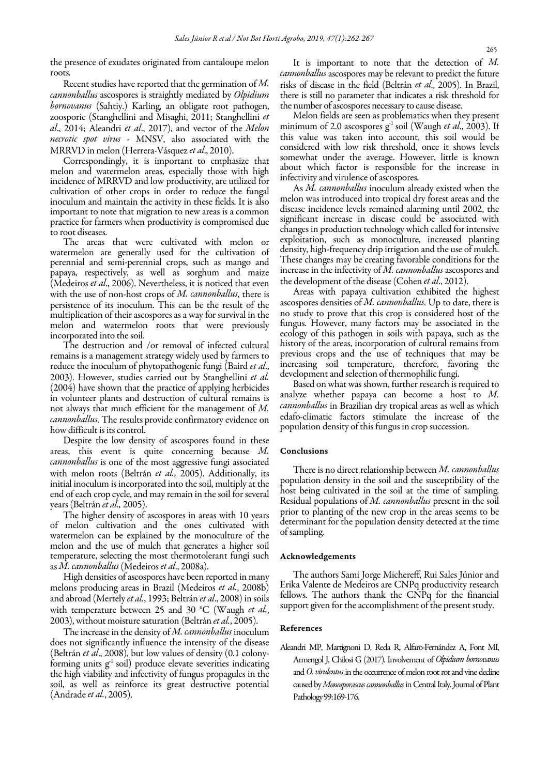the presence of exudates originated from cantaloupe melon roots.

Recent studies have reported that the germination of M. cannonballus ascospores is straightly mediated by Olpidium bornovanus (Sahtiy.) Karling, an obligate root pathogen, zoosporic (Stanghellini and Misaghi, 2011; Stanghellini et al., 2014; Aleandri et al., 2017), and vector of the Melon necrotic spot virus - MNSV, also associated with the MRRVD in melon (Herrera-Vásquez et al., 2010).

Correspondingly, it is important to emphasize that melon and watermelon areas, especially those with high incidence of MRRVD and low productivity, are utilized for cultivation of other crops in order to reduce the fungal inoculum and maintain the activity in these fields. It is also important to note that migration to new areas is a common practice for farmers when productivity is compromised due to root diseases.

The areas that were cultivated with melon or watermelon are generally used for the cultivation of perennial and semi-perennial crops, such as mango and papaya, respectively, as well as sorghum and maize (Medeiros et al., 2006). Nevertheless, it is noticed that even with the use of non-host crops of M. cannonballus, there is persistence of its inoculum. This can be the result of the multiplication of their ascospores as a way for survival in the melon and watermelon roots that were previously incorporated into the soil.

The destruction and /or removal of infected cultural remains is a management strategy widely used by farmers to reduce the inoculum of phytopathogenic fungi (Baird et al., 2003). However, studies carried out by Stanghellini et al. (2004) have shown that the practice of applying herbicides in volunteer plants and destruction of cultural remains is not always that much efficient for the management of M. cannonballus. The results provide confirmatory evidence on how difficult is its control.

Despite the low density of ascospores found in these areas, this event is quite concerning because M. cannonballus is one of the most aggressive fungi associated with melon roots (Beltrán et al., 2005). Additionally, its initial inoculum is incorporated into the soil, multiply at the end of each crop cycle, and may remain in the soil for several years (Beltrán et al., 2005).

The higher density of ascospores in areas with 10 years of melon cultivation and the ones cultivated with watermelon can be explained by the monoculture of the melon and the use of mulch that generates a higher soil temperature, selecting the most thermotolerant fungi such as M. cannonballus (Medeiros et al., 2008a).

High densities of ascospores have been reported in many melons producing areas in Brazil (Medeiros et al., 2008b) and abroad (Mertely et al., 1993; Beltrán et al., 2008) in soils with temperature between 25 and 30 °C (Waugh et al., 2003), without moisture saturation (Beltrán et al., 2005).

The increase in the density of *M. cannonballus* inoculum does not significantly influence the intensity of the disease (Beltrán et al., 2008), but low values of density (0.1 colonyforming units  $g<sup>-1</sup>$  soil) produce elevate severities indicating the high viability and infectivity of fungus propagules in the soil, as well as reinforce its great destructive potential (Andrade et al., 2005).

It is important to note that the detection of M. cannonballus ascospores may be relevant to predict the future risks of disease in the field (Beltrán et al., 2005). In Brazil, there is still no parameter that indicates a risk threshold for the number of ascospores necessary to cause disease.

Melon fields are seen as problematics when they present minimum of 2.0 ascospores  $g^{-1}$  soil (Waugh *et al.*, 2003). If this value was taken into account, this soil would be considered with low risk threshold, once it shows levels somewhat under the average. However, little is known about which factor is responsible for the increase in infectivity and virulence of ascospores.

As *M. cannonballus* inoculum already existed when the melon was introduced into tropical dry forest areas and the disease incidence levels remained alarming until 2002, the significant increase in disease could be associated with changes in production technology which called for intensive exploitation, such as monoculture, increased planting density, high-frequency drip irrigation and the use of mulch. These changes may be creating favorable conditions for the increase in the infectivity of  $M$ . *cannonballus* ascospores and the development of the disease (Cohen et al., 2012).

Areas with papaya cultivation exhibited the highest ascospores densities of  $M.$  *cannonballus*. Up to date, there is no study to prove that this crop is considered host of the fungus. However, many factors may be associated in the ecology of this pathogen in soils with papaya, such as the history of the areas, incorporation of cultural remains from previous crops and the use of techniques that may be increasing soil temperature, therefore, favoring the development and selection of thermophilic fungi.

Based on what was shown, further research is required to analyze whether papaya can become a host to M. cannonballus in Brazilian dry tropical areas as well as which edafo-climatic factors stimulate the increase of the population density of this fungus in crop succession.

#### Conclusions

There is no direct relationship between M. *cannonballus* population density in the soil and the susceptibility of the host being cultivated in the soil at the time of sampling. Residual populations of M. cannonballus present in the soil prior to planting of the new crop in the areas seems to be determinant for the population density detected at the time of sampling.

#### Acknowledgements

The authors Sami Jorge Michereff, Rui Sales Júnior and Erika Valente de Medeiros are CNPq productivity research fellows. The authors thank the CNPq for the financial support given for the accomplishment of the present study.

#### References

Aleandri MP, Martignoni D, Reda R, Alfaro-Fernández A, Font MI, Armengol J, Chilosi G (2017). Involvement of Olpidium bornovanus and O. virulentus in the occurrence of melon root rot and vine decline caused by Monosporascus cannonballus in Central Italy. Journal of Plant Pathology 99:169-176.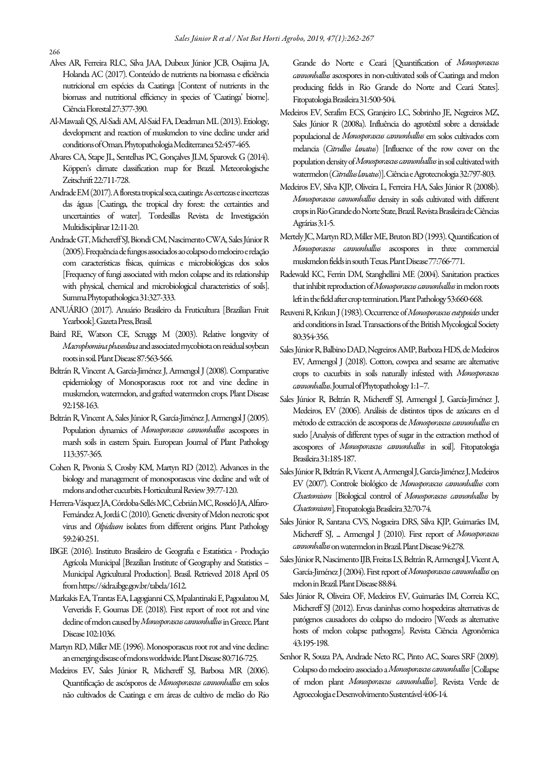- Alves AR, Ferreira RLC, Silva JAA, Dubeux Júnior JCB, Osajima JA, Holanda AC (2017). Conteúdo de nutrients na biomassa e eficiência nutricional em espécies da Caatinga [Content of nutrients in the biomass and nutritional efficiency in species of 'Caatinga' biome]. Ciência Florestal 27:377-390.
- Al-Mawaali QS, Al-Sadi AM, Al-Said FA, Deadman ML (2013). Etiology, development and reaction of muskmelon to vine decline under arid conditions of Oman. Phytopathologia Mediterranea 52:457-465.
- Alvares CA, Stape JL, Sentelhas PC, Gonçalves JLM, Sparovek G (2014). Köppen's climate classification map for Brazil. Meteorologische Zeitschrift 22:711-728.
- Andrade EM (2017). A floresta tropical seca, caatinga: As certezas e incertezas das águas [Caatinga, the tropical dry forest: the certainties and uncertainties of water]. Tordesillas Revista de Investigación Multidisciplinar 12:11-20.
- Andrade GT, Michereff SJ, Biondi CM, Nascimento CWA, Sales Júnior R (2005). Frequência de fungos associados ao colapso do meloeiro e relação com características físicas, químicas e microbiológicas dos solos [Frequency of fungi associated with melon colapse and its relationship with physical, chemical and microbiological characteristics of soils]. Summa Phytopathologica 31:327-333.
- ANUÁRIO (2017). Anuário Brasileiro da Fruticultura [Brazilian Fruit Yearbook]. Gazeta Press, Brasil.
- Baird RE, Watson CE, Scruggs M (2003). Relative longevity of Macrophomina phaseolina and associated mycobiota on residual soybean roots in soil. Plant Disease 87:563-566.
- Beltrán R, Vincent A, García-Jiménez J, Armengol J (2008). Comparative epidemiology of Monosporascus root rot and vine decline in muskmelon, watermelon, and grafted watermelon crops. Plant Disease 92:158-163.
- Beltrán R, Vincent A, Sales Júnior R, García-Jiménez J, Armengol J (2005). Population dynamics of Monosporascus cannonballus ascospores in marsh soils in eastern Spain. European Journal of Plant Pathology 113:357-365.
- Cohen R, Pivonia S, Crosby KM, Martyn RD (2012). Advances in the biology and management of monosporascus vine decline and wilt of melons and other cucurbits. Horticultural Review 39:77-120.
- Herrera-Vásquez JA, Córdoba-Sellés MC, Cebrián MC, Rosseló JA, Alfaro-Fernández A, Jordá C (2010). Genetic diversity of Melon necrotic spot virus and Olpidium isolates from different origins. Plant Pathology 59:240-251.
- IBGE (2016). Instituto Brasileiro de Geografia e Estatística Produção Agrícola Municipal [Brazilian Institute of Geography and Statistics – Municipal Agricultural Production]. Brasil. Retrieved 2018 April 05 from https://sidra.ibge.gov.br/tabela/1612.
- Markakis EA, Trantas EA, Lagogianni CS, Mpalantinaki E, Pagoulatou M, Ververidis F, Goumas DE (2018). First report of root rot and vine decline of melon caused by Monosporascus cannonballus in Greece. Plant Disease 102:1036.
- Martyn RD, Miller ME (1996). Monosporascus root rot and vine decline: an emerging disease of melons worldwide. Plant Disease 80:716-725.
- Medeiros EV, Sales Júnior R, Michereff SJ, Barbosa MR (2006). Quantificação de ascósporos de Monosporascus cannonballus em solos não cultivados de Caatinga e em áreas de cultivo de melão do Rio

Grande do Norte e Ceará [Quantification of Monosporascus cannonballus ascospores in non-cultivated soils of Caatinga and melon producing fields in Rio Grande do Norte and Ceará States]. Fitopatologia Brasileira 31:500-504.

- Medeiros EV, Serafim ECS, Granjeiro LC, Sobrinho JE, Negreiros MZ, Sales Júnior R (2008a). Influência do agrotêxtil sobre a densidade populacional de Monosporascus cannonballus em solos cultivados com melancia (Citrullus lanatus) [Influence of the row cover on the population density of Monosporascus cannonballus in soil cultivated with watermelon (Citrullus lanatus)]. Ciência e Agrotecnologia 32:797-803.
- Medeiros EV, Silva KJP, Oliveira L, Ferreira HA, Sales Júnior R (2008b). Monosporascus cannonballus density in soils cultivated with different crops in Rio Grande do Norte State, Brazil. Revista Brasileira de Ciências Agrárias 3:1-5.
- Mertely JC, Martyn RD, Miller ME, Bruton BD (1993). Quantification of Monosporascus cannonballus ascospores in three commercial muskmelon fields in south Texas. Plant Disease 77:766-771.
- Radewald KC, Ferrin DM, Stanghellini ME (2004). Sanitation practices that inhibit reproduction of Monosporascus cannonballus in melon roots left in the field after crop termination. Plant Pathology 53:660-668.
- Reuveni R, Krikun J (1983). Occurrence of Monosporascus eutypoides under arid conditions in Israel. Transactions of the British Mycological Society 80:354-356.
- Sales Júnior R, Balbino DAD, Negreiros AMP, Barboza HDS, de Medeiros EV, Armengol J (2018). Cotton, cowpea and sesame are alternative crops to cucurbits in soils naturally infested with Monosporascus cannonballus. Journal of Phytopathology 1:1–7.
- Sales Júnior R, Beltrán R, Michereff SJ, Armengol J, García-Jiménez J, Medeiros, EV (2006). Análisis de distintos tipos de azúcares en el método de extracción de ascosporas de Monosporascus cannonballus en suelo [Analysis of different types of sugar in the extraction method of ascospores of Monosporascus cannonballus in soil]. Fitopatologia Brasileira 31:185-187.
- Sales Júnior R, Beltrán R, Vicent A, Armengol J, García-Jiménez J, Medeiros EV (2007). Controle biológico de Monosporascus cannonballus com Chaetomium [Biological control of Monosporascus cannonballus by Chaetomium]. Fitopatologia Brasileira 32:70-74.
- Sales Júnior R, Santana CVS, Nogueira DRS, Silva KJP, Guimarães IM, Michereff SJ, ... Armengol J (2010). First report of Monosporascus cannonballus on watermelon in Brazil. Plant Disease 94:278.
- Sales Júnior R, Nascimento IJB, Freitas LS, Beltrán R, Armengol J, Vicent A, García-Jiménez J (2004). First report of Monosporascus cannonballus on melon in Brazil. Plant Disease 88:84.
- Sales Júnior R, Oliveira OF, Medeiros EV, Guimarães IM, Correia KC, Michereff SJ (2012). Ervas daninhas como hospedeiras alternativas de patógenos causadores do colapso do meloeiro [Weeds as alternative hosts of melon colapse pathogens]. Revista Ciência Agronômica 43:195-198.
- Senhor R, Souza PA, Andrade Neto RC, Pinto AC, Soares SRF (2009). Colapso do meloeiro associado a Monosporascus cannonballus [Collapse of melon plant Monosporascus cannonballus]. Revista Verde de Agroecologia e Desenvolvimento Sustentável 4:06-14.

266